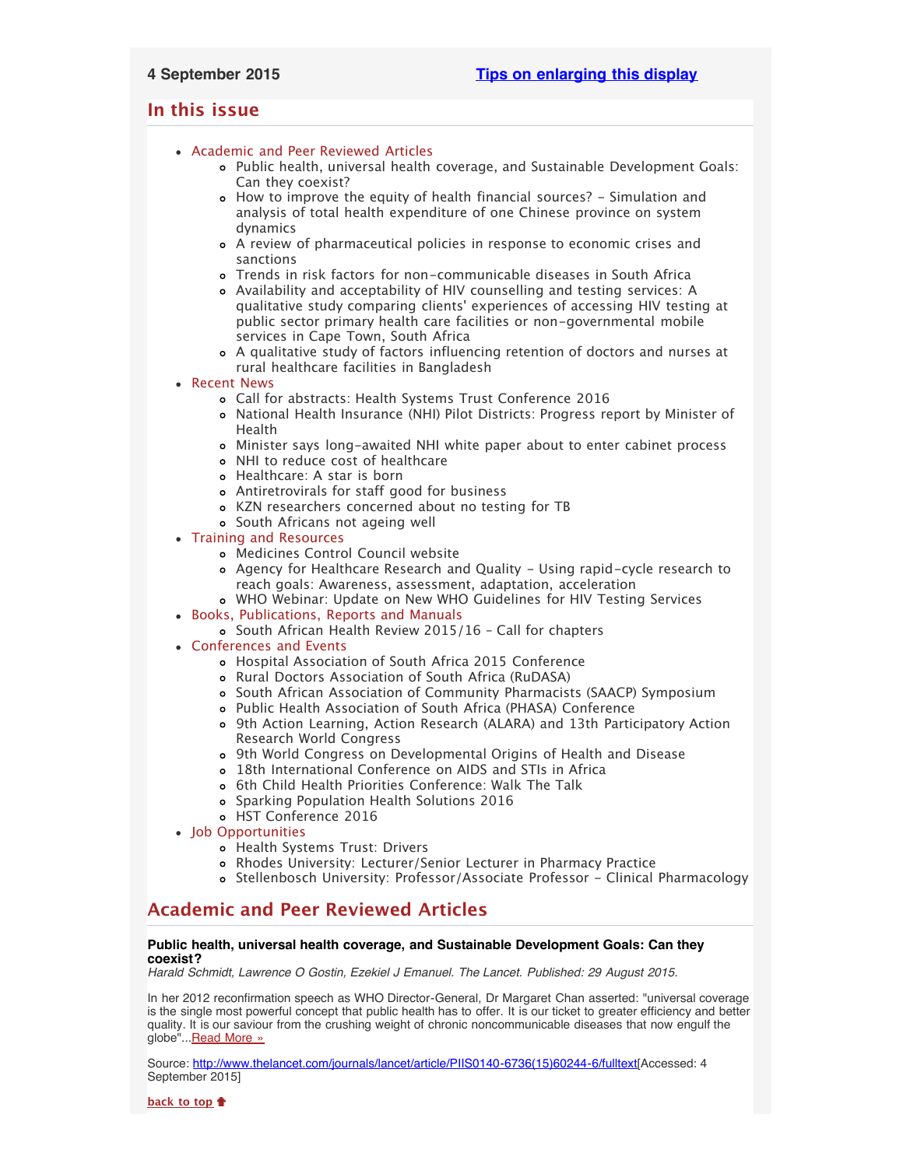## <span id="page-0-2"></span>**In this issue**

- [Academic and Peer Reviewed Articles](#page-0-0)
	- [Public health, universal health coverage, and Sustainable Development Goals:](#page-0-1) [Can they coexist?](#page-0-1)
	- [How to improve the equity of health financial sources? Simulation and](#page-1-0) [analysis of total health expenditure of one Chinese province on system](#page-1-0) [dynamics](#page-1-0)
	- [A review of pharmaceutical policies in response to economic crises and](#page-1-1) [sanctions](#page-1-1)
	- [Trends in risk factors for non-communicable diseases in South Africa](#page-1-2)
	- [Availability and acceptability of HIV counselling and testing services: A](#page-1-3) qualitative study comparing clients[' experiences of accessing HIV testing at](#page-1-3) [public sector primary health care facilities or non-governmental mobile](#page-1-3) [services in Cape Town, South Africa](#page-1-3)
	- [A qualitative study of factors influencing retention of doctors and nurses at](#page-1-4) [rural healthcare facilities in Bangladesh](#page-1-4)
- [Recent News](#page-1-5)
	- [Call for abstracts: Health Systems Trust Conference 2016](#page-1-6)
	- [National Health Insurance \(NHI\) Pilot Districts: Progress report by Minister of](#page-1-7) [Health](#page-1-7)
	- [Minister says long-awaited NHI white paper about to enter cabinet process](#page-2-0)
	- [NHI to reduce cost of healthcare](#page-2-1)
	- [Healthcare: A star is born](#page-2-2)
	- [Antiretrovirals for staff good for business](#page-2-3)
	- [KZN researchers concerned about no testing for TB](#page-2-4)
	- [South Africans not ageing well](#page-2-5)
- [Training and Resources](#page-2-6)
	- [Medicines Control Council website](#page-2-7)
	- [Agency for Healthcare Research and Quality Using rapid-cycle research to](#page-3-0) [reach goals: Awareness, assessment, adaptation, acceleration](#page-3-0)
	- [WHO Webinar: Update on New WHO Guidelines for HIV Testing Services](#page-3-1)
- [Books, Publications, Reports and Manuals](#page-3-2)
	- o South African Health Review 2015/16 Call for chapters
- [Conferences and Events](#page-3-4)
	- [Hospital Association of South Africa 2015 Conference](#page-3-5)
	- [Rural Doctors Association of South Africa \(RuDASA\)](#page-3-6)
	- [South African Association of Community Pharmacists \(SAACP\) Symposium](#page-3-7)
	- [Public Health Association of South Africa \(PHASA\) Conference](#page-3-8)
	- [9th Action Learning, Action Research \(ALARA\) and 13th Participatory Action](#page-4-0) [Research World Congress](#page-4-0)
	- [9th World Congress on Developmental Origins of Health and Disease](#page-4-1)
	- [18th International Conference on AIDS and STIs in Africa](#page-4-2)
	- o [6th Child Health Priorities Conference: Walk The Talk](#page-4-3)
	- [Sparking Population Health Solutions 2016](#page-4-4)
	- [HST Conference 2016](#page-4-5)
- [Job Opportunities](#page-5-0)
	- [Health Systems Trust: Drivers](#page-5-1)
	- [Rhodes University: Lecturer/Senior Lecturer in Pharmacy Practice](#page-5-2)
	- [Stellenbosch University: Professor/Associate Professor Clinical Pharmacology](#page-5-3)

# <span id="page-0-0"></span>**Academic and Peer Reviewed Articles**

## <span id="page-0-1"></span>**Public health, universal health coverage, and Sustainable Development Goals: Can they coexist?**

*Harald Schmidt, Lawrence O Gostin, Ezekiel J Emanuel. The Lancet. Published: 29 August 2015.*

In her 2012 reconfirmation speech as WHO Director-General, Dr Margaret Chan asserted: "universal coverage is the single most powerful concept that public health has to offer. It is our ticket to greater efficiency and better quality. It is our saviour from the crushing weight of chronic noncommunicable diseases that now engulf the globe"... [Read More »](http://www.thelancet.com/journals/lancet/article/PIIS0140-6736(15)60244-6/fulltext)

Source: [http://www.thelancet.com/journals/lancet/article/PIIS0140-6736\(15\)60244-6/fulltext\[](http://www.thelancet.com/journals/lancet/article/PIIS0140-6736(15)60244-6/fulltext)Accessed: 4 September 2015]

**[back to top](#page-0-2)**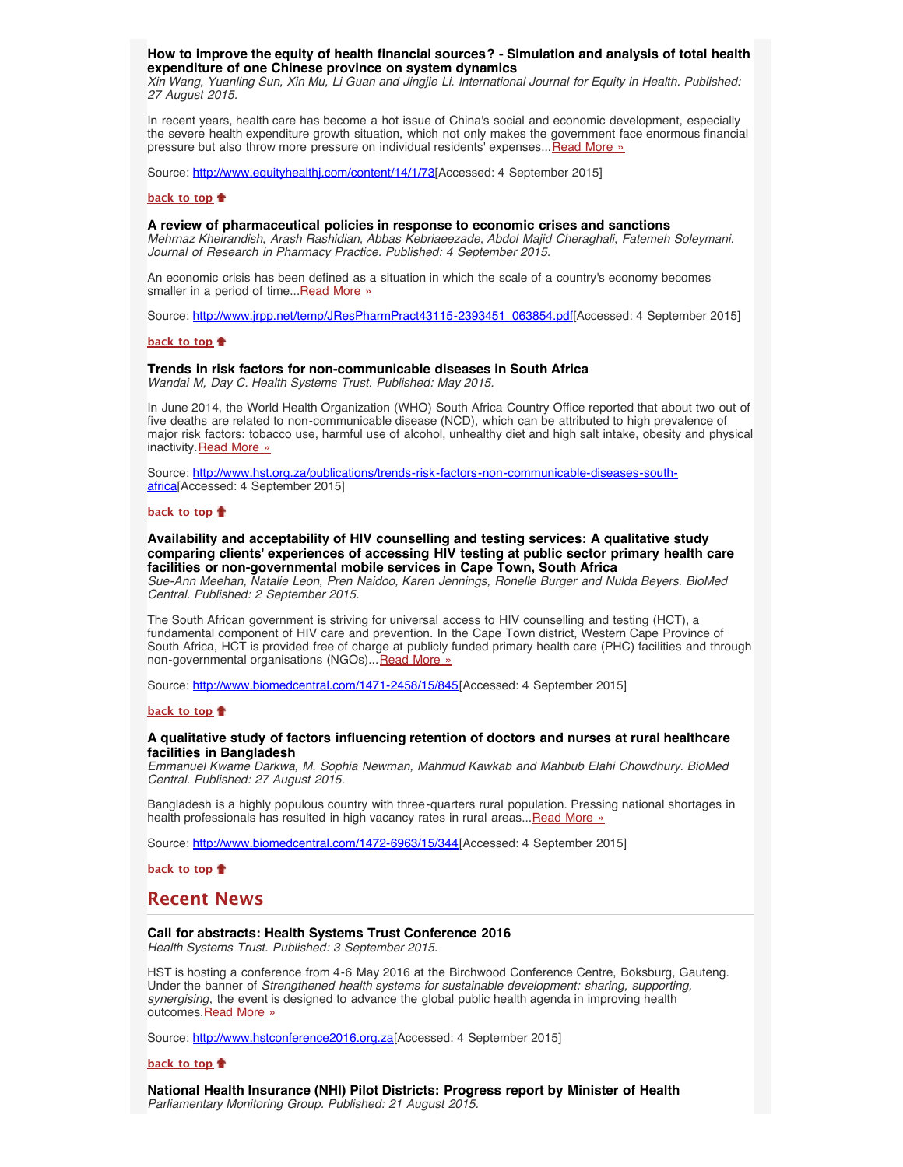## <span id="page-1-0"></span>**How to improve the equity of health financial sources? - Simulation and analysis of total health expenditure of one Chinese province on system dynamics**

*Xin Wang, Yuanling Sun, Xin Mu, Li Guan and Jingjie Li. International Journal for Equity in Health. Published: 27 August 2015.*

In recent years, health care has become a hot issue of China's social and economic development, especially the severe health expenditure growth situation, which not only makes the government face enormous financial pressure but also throw more pressure on individual residents' expenses... [Read More »](http://www.equityhealthj.com/content/14/1/73)

Source: <http://www.equityhealthj.com/content/14/1/73>[Accessed: 4 September 2015]

#### **[back to top](#page-0-2)**

## <span id="page-1-1"></span>**A review of pharmaceutical policies in response to economic crises and sanctions**

*Mehrnaz Kheirandish, Arash Rashidian, Abbas Kebriaeezade, Abdol Majid Cheraghali, Fatemeh Soleymani. Journal of Research in Pharmacy Practice. Published: 4 September 2015.*

An economic crisis has been defined as a situation in which the scale of a country's economy becomes smaller in a period of time... [Read More »](http://www.jrpp.net/temp/JResPharmPract43115-2393451_063854.pdf)

Source: [http://www.jrpp.net/temp/JResPharmPract43115-2393451\\_063854.pdf\[](http://www.jrpp.net/temp/JResPharmPract43115-2393451_063854.pdf)Accessed: 4 September 2015]

#### **[back to top](#page-0-2)**

## <span id="page-1-2"></span>**Trends in risk factors for non-communicable diseases in South Africa**

*Wandai M, Day C. Health Systems Trust. Published: May 2015.*

In June 2014, the World Health Organization (WHO) South Africa Country Office reported that about two out of five deaths are related to non-communicable disease (NCD), which can be attributed to high prevalence of major risk factors: tobacco use, harmful use of alcohol, unhealthy diet and high salt intake, obesity and physical inactivity. [Read More »](http://www.hst.org.za/publications/trends-risk-factors-non-communicable-diseases-south-africa)

Source: [http://www.hst.org.za/publications/trends-risk-factors-non-communicable-diseases-south](http://www.hst.org.za/publications/trends-risk-factors-non-communicable-diseases-south-africa)[africa](http://www.hst.org.za/publications/trends-risk-factors-non-communicable-diseases-south-africa)[Accessed: 4 September 2015]

#### **[back to top](#page-0-2)**

## <span id="page-1-3"></span>**Availability and acceptability of HIV counselling and testing services: A qualitative study comparing clients' experiences of accessing HIV testing at public sector primary health care facilities or non-governmental mobile services in Cape Town, South Africa**

*Sue-Ann Meehan, Natalie Leon, Pren Naidoo, Karen Jennings, Ronelle Burger and Nulda Beyers. BioMed Central. Published: 2 September 2015.*

The South African government is striving for universal access to HIV counselling and testing (HCT), a fundamental component of HIV care and prevention. In the Cape Town district, Western Cape Province of South Africa, HCT is provided free of charge at publicly funded primary health care (PHC) facilities and through non-governmental organisations (NGOs)... [Read More »](http://www.biomedcentral.com/1471-2458/15/845)

Source: [http://www.biomedcentral.com/1471-2458/15/845\[](http://www.biomedcentral.com/1471-2458/15/845)Accessed: 4 September 2015]

## **[back to top](#page-0-2)**

## <span id="page-1-4"></span>**A qualitative study of factors influencing retention of doctors and nurses at rural healthcare facilities in Bangladesh**

*Emmanuel Kwame Darkwa, M. Sophia Newman, Mahmud Kawkab and Mahbub Elahi Chowdhury. BioMed Central. Published: 27 August 2015.*

Bangladesh is a highly populous country with three-quarters rural population. Pressing national shortages in health professionals has resulted in high vacancy rates in rural areas... [Read More »](http://www.biomedcentral.com/1472-6963/15/344)

Source: [http://www.biomedcentral.com/1472-6963/15/344\[](http://www.biomedcentral.com/1472-6963/15/344)Accessed: 4 September 2015]

## **[back to top](#page-0-2)**

## <span id="page-1-5"></span>**Recent News**

## <span id="page-1-6"></span>**Call for abstracts: Health Systems Trust Conference 2016**

*Health Systems Trust. Published: 3 September 2015.*

HST is hosting a conference from 4-6 May 2016 at the Birchwood Conference Centre, Boksburg, Gauteng. Under the banner of *Strengthened health systems for sustainable development: sharing, supporting, synergising*, the event is designed to advance the global public health agenda in improving health outcomes. Read More »

Source: [http://www.hstconference2016.org.za\[](http://www.hstconference2016.org.za/)Accessed: 4 September 2015]

#### **[back to top](#page-0-2)**

<span id="page-1-7"></span>**National Health Insurance (NHI) Pilot Districts: Progress report by Minister of Health** *Parliamentary Monitoring Group. Published: 21 August 2015.*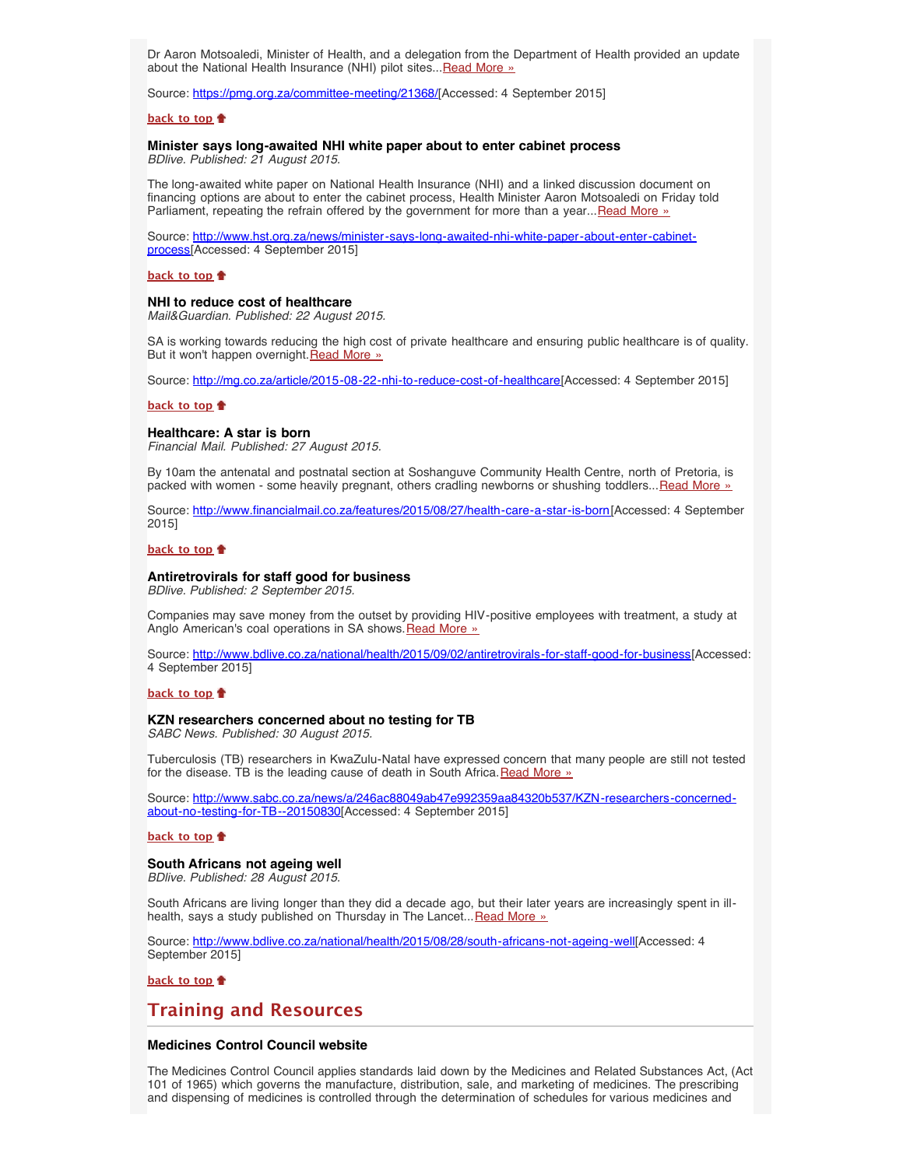Dr Aaron Motsoaledi, Minister of Health, and a delegation from the Department of Health provided an update about the National Health Insurance (NHI) pilot sites... Read More »

Source: [https://pmg.org.za/committee-meeting/21368/\[](https://pmg.org.za/committee-meeting/21368/)Accessed: 4 September 2015]

## **[back to top](#page-0-2)**

#### <span id="page-2-0"></span>**Minister says long-awaited NHI white paper about to enter cabinet process** *BDlive. Published: 21 August 2015.*

The long-awaited white paper on National Health Insurance (NHI) and a linked discussion document on financing options are about to enter the cabinet process, Health Minister Aaron Motsoaledi on Friday told Parliament, repeating the refrain offered by the government for more than a year... [Read More »](http://www.hst.org.za/news/minister-says-long-awaited-nhi-white-paper-about-enter-cabinet-process)

Source: [http://www.hst.org.za/news/minister-says-long-awaited-nhi-white-paper-about-enter-cabinet](http://www.hst.org.za/news/minister-says-long-awaited-nhi-white-paper-about-enter-cabinet-process)[process](http://www.hst.org.za/news/minister-says-long-awaited-nhi-white-paper-about-enter-cabinet-process)[Accessed: 4 September 2015]

#### **[back to top](#page-0-2)**

#### <span id="page-2-1"></span>**NHI to reduce cost of healthcare**

*Mail&Guardian. Published: 22 August 2015.*

SA is working towards reducing the high cost of private healthcare and ensuring public healthcare is of quality. But it won't happen overnight. [Read More »](http://www.hst.org.za/news/nhi-reduce-cost-healthcare)

Source: [http://mg.co.za/article/2015-08-22-nhi-to-reduce-cost-of-healthcare\[](http://mg.co.za/article/2015-08-22-nhi-to-reduce-cost-of-healthcare)Accessed: 4 September 2015]

#### **[back to top](#page-0-2)**

## <span id="page-2-2"></span>**Healthcare: A star is born**

*Financial Mail. Published: 27 August 2015.*

By 10am the antenatal and postnatal section at Soshanguve Community Health Centre, north of Pretoria, is packed with women - some heavily pregnant, others cradling newborns or shushing toddlers... [Read More »](http://www.financialmail.co.za/features/2015/08/27/health-care-a-star-is-born)

Source: [http://www.financialmail.co.za/features/2015/08/27/health-care-a-star-is-born\[](http://www.financialmail.co.za/features/2015/08/27/health-care-a-star-is-born)Accessed: 4 September 2015]

## **[back to top](#page-0-2)**

## <span id="page-2-3"></span>**Antiretrovirals for staff good for business**

*BDlive. Published: 2 September 2015.*

Companies may save money from the outset by providing HIV-positive employees with treatment, a study at Anglo American's coal operations in SA shows. [Read More »](http://www.bdlive.co.za/national/health/2015/09/02/antiretrovirals-for-staff-good-for-business)

Source: <http://www.bdlive.co.za/national/health/2015/09/02/antiretrovirals-for-staff-good-for-business>[Accessed: 4 September 2015]

#### **[back to top](#page-0-2)**

### <span id="page-2-4"></span>**KZN researchers concerned about no testing for TB**

*SABC News. Published: 30 August 2015.*

Tuberculosis (TB) researchers in KwaZulu-Natal have expressed concern that many people are still not tested for the disease. TB is the leading cause of death in South Africa. Read More  $\frac{1}{2}$ 

Source: [http://www.sabc.co.za/news/a/246ac88049ab47e992359aa84320b537/KZN-researchers-concerned](http://www.sabc.co.za/news/a/246ac88049ab47e992359aa84320b537/KZN-researchers-concerned-about-no-testing-for-TB--20150830)[about-no-testing-for-TB--20150830](http://www.sabc.co.za/news/a/246ac88049ab47e992359aa84320b537/KZN-researchers-concerned-about-no-testing-for-TB--20150830)[Accessed: 4 September 2015]

## **[back to top](#page-0-2)**

#### <span id="page-2-5"></span>**South Africans not ageing well**

*BDlive. Published: 28 August 2015.*

South Africans are living longer than they did a decade ago, but their later years are increasingly spent in ill-health, says a study published on Thursday in The Lancet... [Read More »](http://www.bdlive.co.za/national/health/2015/08/28/south-africans-not-ageing-well)

Source: [http://www.bdlive.co.za/national/health/2015/08/28/south-africans-not-ageing-well\[](http://www.bdlive.co.za/national/health/2015/08/28/south-africans-not-ageing-well)Accessed: 4 September 2015]

**[back to top](#page-0-2)**

## <span id="page-2-6"></span>**Training and Resources**

## <span id="page-2-7"></span>**Medicines Control Council website**

The Medicines Control Council applies standards laid down by the Medicines and Related Substances Act, (Act 101 of 1965) which governs the manufacture, distribution, sale, and marketing of medicines. The prescribing and dispensing of medicines is controlled through the determination of schedules for various medicines and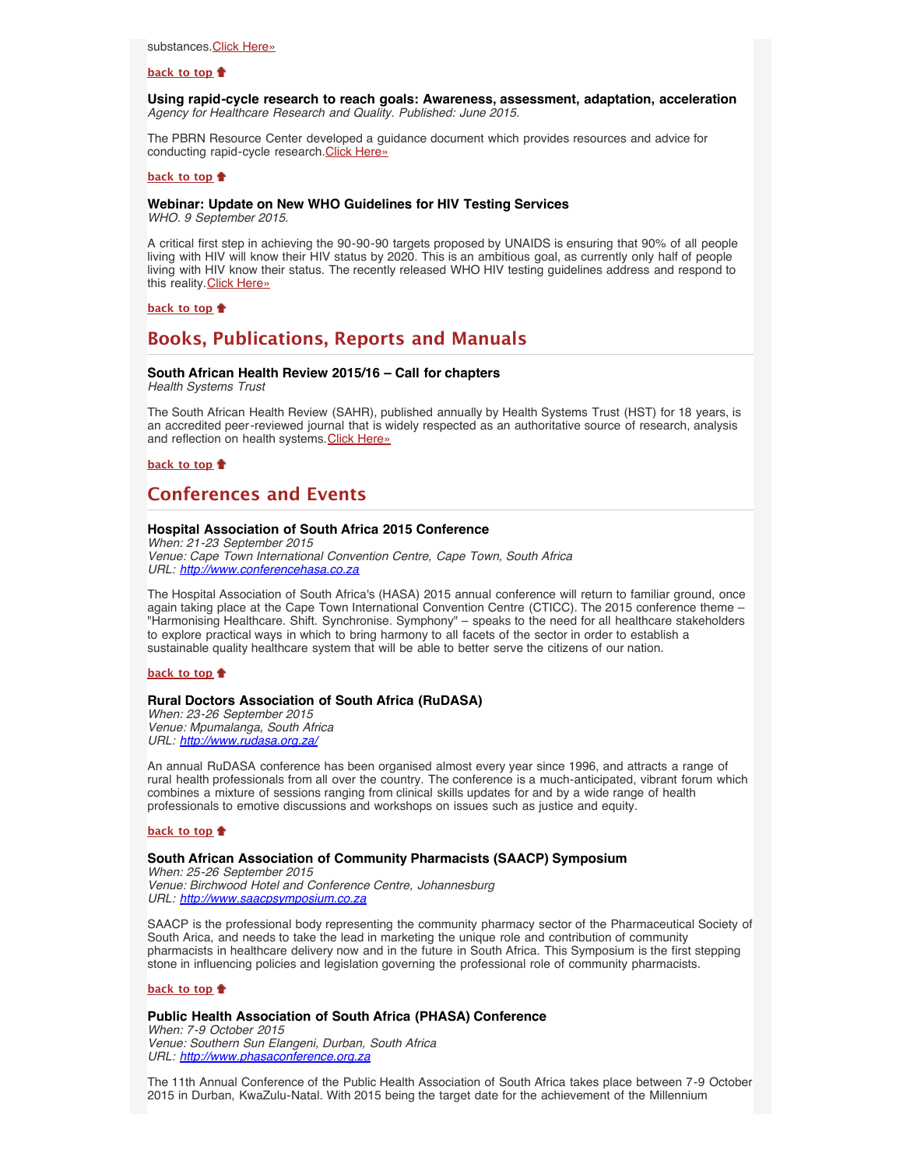### **[back to top](#page-0-2)**

<span id="page-3-0"></span>**Using rapid-cycle research to reach goals: Awareness, assessment, adaptation, acceleration** *Agency for Healthcare Research and Quality. Published: June 2015.*

The PBRN Resource Center developed a guidance document which provides resources and advice for conducting rapid-cycle research. [Click Here»](https://pbrn.ahrq.gov/tools-and-resources)

#### **[back to top](#page-0-2)**

## <span id="page-3-1"></span>**Webinar: Update on New WHO Guidelines for HIV Testing Services**

*WHO. 9 September 2015.*

A critical first step in achieving the 90-90-90 targets proposed by UNAIDS is ensuring that 90% of all people living with HIV will know their HIV status by 2020. This is an ambitious goal, as currently only half of people living with HIV know their status. The recently released WHO HIV testing guidelines address and respond to this reality. [Click Here»](https://www.eventbrite.com/e/update-on-new-who-guidelines-for-hiv-testing-services-registration-18288337911)

**[back to top](#page-0-2)**

## <span id="page-3-2"></span>**Books, Publications, Reports and Manuals**

## <span id="page-3-3"></span>**South African Health Review 2015/16 – Call for chapters**

*Health Systems Trust*

The South African Health Review (SAHR), published annually by Health Systems Trust (HST) for 18 years, is an accredited peer-reviewed journal that is widely respected as an authoritative source of research, analysis and reflection on health systems. [Click Here»](http://www.hst.org.za/news/south-african-health-review-201516-call-chapters)

**[back to top](#page-0-2)**

# <span id="page-3-4"></span>**Conferences and Events**

## <span id="page-3-5"></span>**Hospital Association of South Africa 2015 Conference**

*When: 21-23 September 2015 Venue: Cape Town International Convention Centre, Cape Town, South Africa URL: [http://www.conferencehasa.co.za](http://www.conferencehasa.co.za/)*

The Hospital Association of South Africa's (HASA) 2015 annual conference will return to familiar ground, once again taking place at the Cape Town International Convention Centre (CTICC). The 2015 conference theme – "Harmonising Healthcare. Shift. Synchronise. Symphony" – speaks to the need for all healthcare stakeholders to explore practical ways in which to bring harmony to all facets of the sector in order to establish a sustainable quality healthcare system that will be able to better serve the citizens of our nation.

## **[back to top](#page-0-2)**

## <span id="page-3-6"></span>**Rural Doctors Association of South Africa (RuDASA)**

*When: 23-26 September 2015 Venue: Mpumalanga, South Africa URL: <http://www.rudasa.org.za/>*

An annual RuDASA conference has been organised almost every year since 1996, and attracts a range of rural health professionals from all over the country. The conference is a much-anticipated, vibrant forum which combines a mixture of sessions ranging from clinical skills updates for and by a wide range of health professionals to emotive discussions and workshops on issues such as justice and equity.

### **[back to top](#page-0-2)**

### <span id="page-3-7"></span>**South African Association of Community Pharmacists (SAACP) Symposium**

*When: 25-26 September 2015 Venue: Birchwood Hotel and Conference Centre, Johannesburg URL: [http://www.saacpsymposium.co.za](http://www.saacpsymposium.co.za/)*

SAACP is the professional body representing the community pharmacy sector of the Pharmaceutical Society of South Arica, and needs to take the lead in marketing the unique role and contribution of community pharmacists in healthcare delivery now and in the future in South Africa. This Symposium is the first stepping stone in influencing policies and legislation governing the professional role of community pharmacists.

## **[back to top](#page-0-2)**

#### <span id="page-3-8"></span>**Public Health Association of South Africa (PHASA) Conference**

*When: 7-9 October 2015 Venue: Southern Sun Elangeni, Durban, South Africa URL: [http://www.phasaconference.org.za](http://www.phasaconference.org.za/)*

The 11th Annual Conference of the Public Health Association of South Africa takes place between 7-9 October 2015 in Durban, KwaZulu-Natal. With 2015 being the target date for the achievement of the Millennium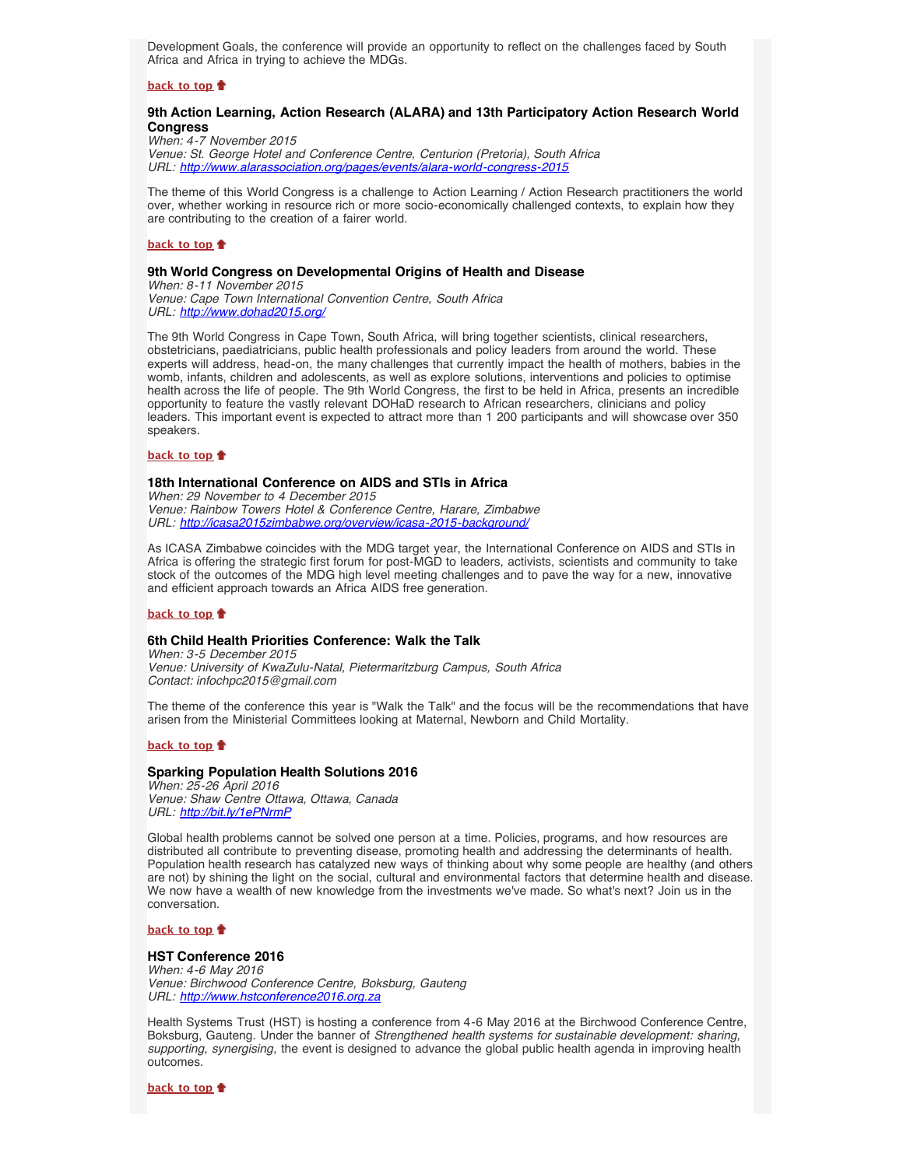Development Goals, the conference will provide an opportunity to reflect on the challenges faced by South Africa and Africa in trying to achieve the MDGs.

## **[back to top](#page-0-2)**

## <span id="page-4-0"></span>**9th Action Learning, Action Research (ALARA) and 13th Participatory Action Research World Congress**

*When: 4-7 November 2015 Venue: St. George Hotel and Conference Centre, Centurion (Pretoria), South Africa URL: <http://www.alarassociation.org/pages/events/alara-world-congress-2015>*

The theme of this World Congress is a challenge to Action Learning / Action Research practitioners the world over, whether working in resource rich or more socio-economically challenged contexts, to explain how they are contributing to the creation of a fairer world.

#### **[back to top](#page-0-2)**

#### <span id="page-4-1"></span>**9th World Congress on Developmental Origins of Health and Disease**

*When: 8-11 November 2015 Venue: Cape Town International Convention Centre, South Africa URL: <http://www.dohad2015.org/>*

The 9th World Congress in Cape Town, South Africa, will bring together scientists, clinical researchers, obstetricians, paediatricians, public health professionals and policy leaders from around the world. These experts will address, head-on, the many challenges that currently impact the health of mothers, babies in the womb, infants, children and adolescents, as well as explore solutions, interventions and policies to optimise health across the life of people. The 9th World Congress, the first to be held in Africa, presents an incredible opportunity to feature the vastly relevant DOHaD research to African researchers, clinicians and policy leaders. This important event is expected to attract more than 1 200 participants and will showcase over 350 speakers.

## **[back to top](#page-0-2)**

## <span id="page-4-2"></span>**18th International Conference on AIDS and STIs in Africa**

*When: 29 November to 4 December 2015 Venue: Rainbow Towers Hotel & Conference Centre, Harare, Zimbabwe URL: <http://icasa2015zimbabwe.org/overview/icasa-2015-background/>*

As ICASA Zimbabwe coincides with the MDG target year, the International Conference on AIDS and STIs in Africa is offering the strategic first forum for post-MGD to leaders, activists, scientists and community to take stock of the outcomes of the MDG high level meeting challenges and to pave the way for a new, innovative and efficient approach towards an Africa AIDS free generation.

## **[back to top](#page-0-2)**

## <span id="page-4-3"></span>**6th Child Health Priorities Conference: Walk the Talk**

*When: 3-5 December 2015 Venue: University of KwaZulu-Natal, Pietermaritzburg Campus, South Africa Contact: infochpc2015@gmail.com*

The theme of the conference this year is "Walk the Talk" and the focus will be the recommendations that have arisen from the Ministerial Committees looking at Maternal, Newborn and Child Mortality.

#### **[back to top](#page-0-2)**

#### <span id="page-4-4"></span>**Sparking Population Health Solutions 2016**

*When: 25-26 April 2016 Venue: Shaw Centre Ottawa, Ottawa, Canada URL: <http://bit.ly/1ePNrmP>*

Global health problems cannot be solved one person at a time. Policies, programs, and how resources are distributed all contribute to preventing disease, promoting health and addressing the determinants of health. Population health research has catalyzed new ways of thinking about why some people are healthy (and others are not) by shining the light on the social, cultural and environmental factors that determine health and disease. We now have a wealth of new knowledge from the investments we've made. So what's next? Join us in the conversation.

## **[back to top](#page-0-2)**

## <span id="page-4-5"></span>**HST Conference 2016**

*When: 4-6 May 2016 Venue: Birchwood Conference Centre, Boksburg, Gauteng URL: [http://www.hstconference2016.org.za](http://www.hstconference2016.org.za/)*

Health Systems Trust (HST) is hosting a conference from 4-6 May 2016 at the Birchwood Conference Centre, Boksburg, Gauteng. Under the banner of *Strengthened health systems for sustainable development: sharing, supporting, synergising*, the event is designed to advance the global public health agenda in improving health outcomes.

**[back to top](#page-0-2)**